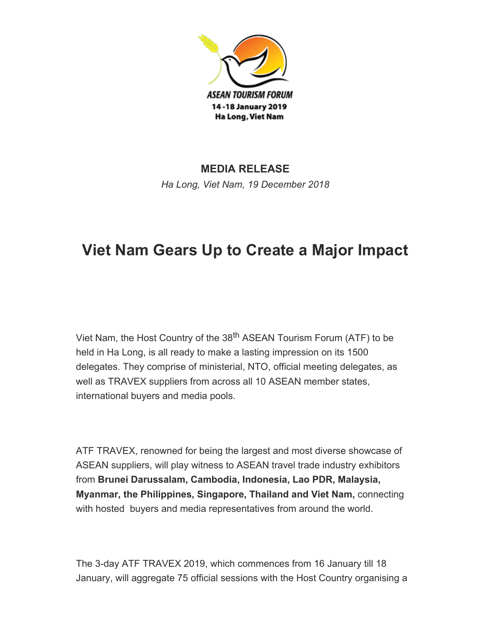

## MEDIA RELEASE Ha Long, Viet Nam, 19 December 2018

## Viet Nam Gears Up to Create a Major Impact

Viet Nam, the Host Country of the 38<sup>th</sup> ASEAN Tourism Forum (ATF) to be held in Ha Long, is all ready to make a lasting impression on its 1500 delegates. They comprise of ministerial, NTO, official meeting delegates, as well as TRAVEX suppliers from across all 10 ASEAN member states, international buyers and media pools.

ATF TRAVEX, renowned for being the largest and most diverse showcase of ASEAN suppliers, will play witness to ASEAN travel trade industry exhibitors from Brunei Darussalam, Cambodia, Indonesia, Lao PDR, Malaysia, Myanmar, the Philippines, Singapore, Thailand and Viet Nam, connecting with hosted buyers and media representatives from around the world.

The 3-day ATF TRAVEX 2019, which commences from 16 January till 18 January, will aggregate 75 official sessions with the Host Country organising a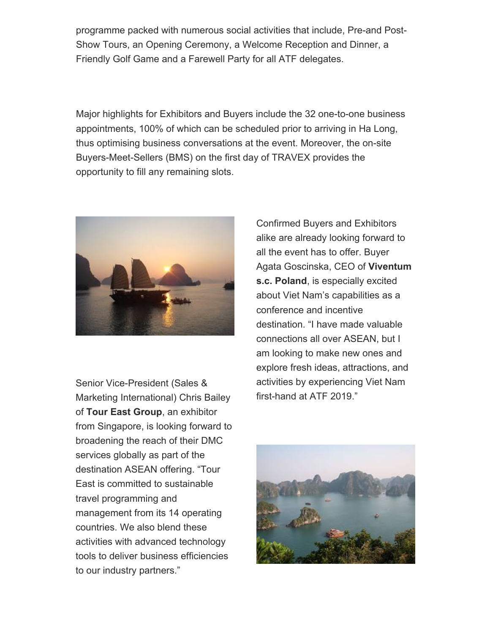programme packed with numerous social activities that include, Pre-and Post-Show Tours, an Opening Ceremony, a Welcome Reception and Dinner, a Friendly Golf Game and a Farewell Party for all ATF delegates.

Major highlights for Exhibitors and Buyers include the 32 one-to-one business appointments, 100% of which can be scheduled prior to arriving in Ha Long, thus optimising business conversations at the event. Moreover, the on-site Buyers-Meet-Sellers (BMS) on the first day of TRAVEX provides the opportunity to fill any remaining slots.



Senior Vice-President (Sales & Marketing International) Chris Bailey of Tour East Group, an exhibitor from Singapore, is looking forward to broadening the reach of their DMC services globally as part of the destination ASEAN offering. "Tour East is committed to sustainable travel programming and management from its 14 operating countries. We also blend these activities with advanced technology tools to deliver business efficiencies to our industry partners."

Confirmed Buyers and Exhibitors alike are already looking forward to all the event has to offer. Buyer Agata Goscinska, CEO of Viventum s.c. Poland, is especially excited about Viet Nam's capabilities as a conference and incentive destination. "I have made valuable connections all over ASEAN, but I am looking to make new ones and explore fresh ideas, attractions, and activities by experiencing Viet Nam first-hand at ATF 2019."

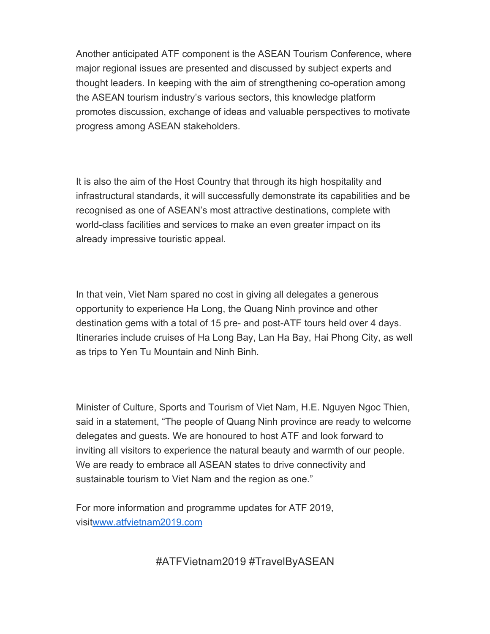Another anticipated ATF component is the ASEAN Tourism Conference, where major regional issues are presented and discussed by subject experts and thought leaders. In keeping with the aim of strengthening co-operation among the ASEAN tourism industry's various sectors, this knowledge platform promotes discussion, exchange of ideas and valuable perspectives to motivate progress among ASEAN stakeholders.

It is also the aim of the Host Country that through its high hospitality and infrastructural standards, it will successfully demonstrate its capabilities and be recognised as one of ASEAN's most attractive destinations, complete with world-class facilities and services to make an even greater impact on its already impressive touristic appeal.

In that vein, Viet Nam spared no cost in giving all delegates a generous opportunity to experience Ha Long, the Quang Ninh province and other destination gems with a total of 15 pre- and post-ATF tours held over 4 days. Itineraries include cruises of Ha Long Bay, Lan Ha Bay, Hai Phong City, as well as trips to Yen Tu Mountain and Ninh Binh.

Minister of Culture, Sports and Tourism of Viet Nam, H.E. Nguyen Ngoc Thien, said in a statement, "The people of Quang Ninh province are ready to welcome delegates and guests. We are honoured to host ATF and look forward to inviting all visitors to experience the natural beauty and warmth of our people. We are ready to embrace all ASEAN states to drive connectivity and sustainable tourism to Viet Nam and the region as one."

For more information and programme updates for ATF 2019, visit[www.atfvietnam2019.com](http://www.atfvietnam2019.com/)

#ATFVietnam2019 #TravelByASEAN